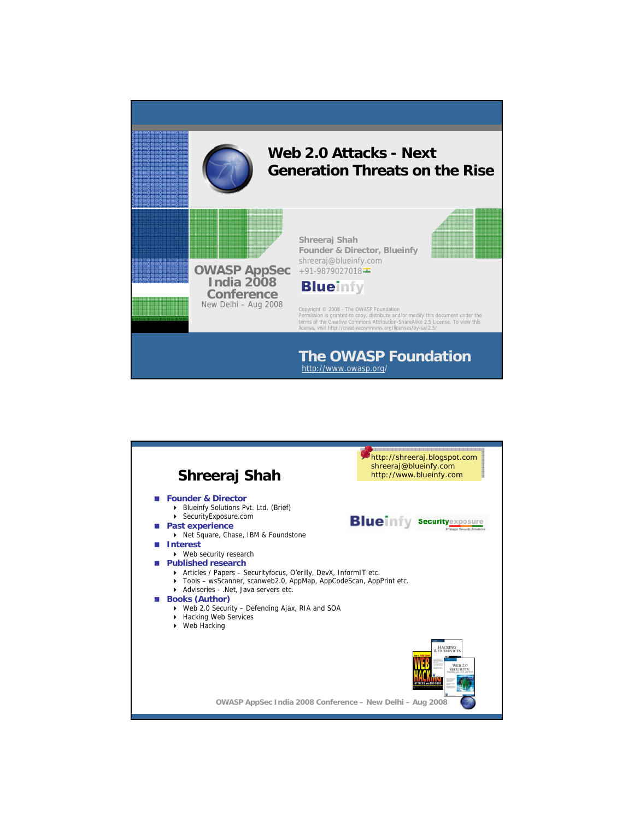

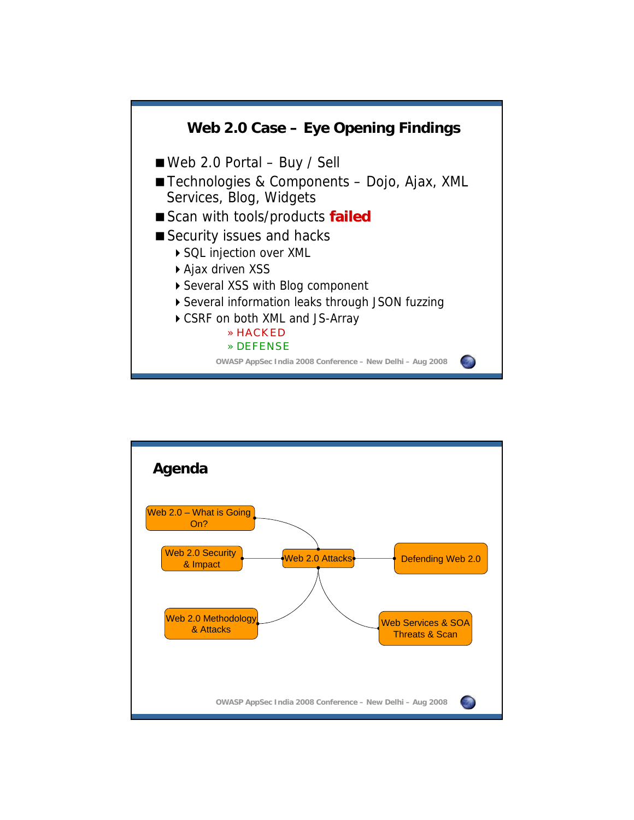

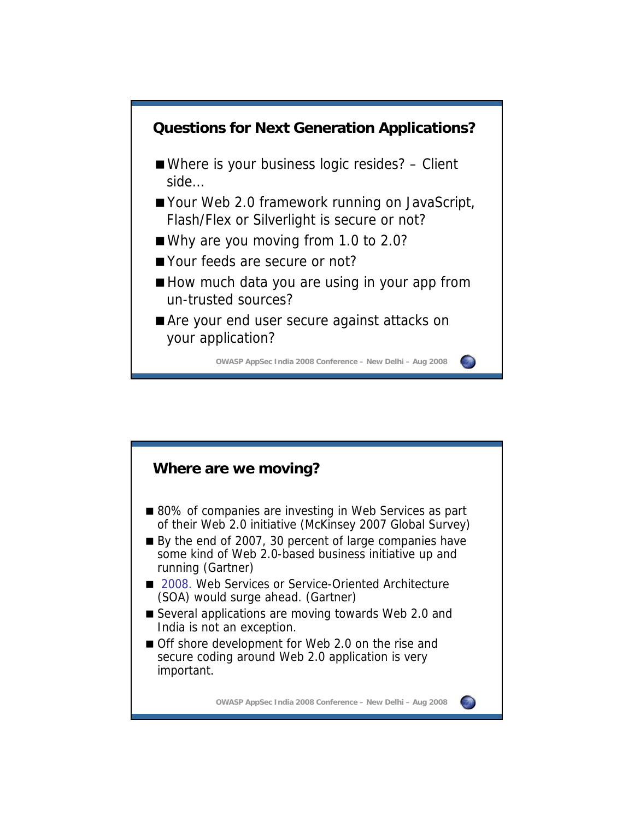

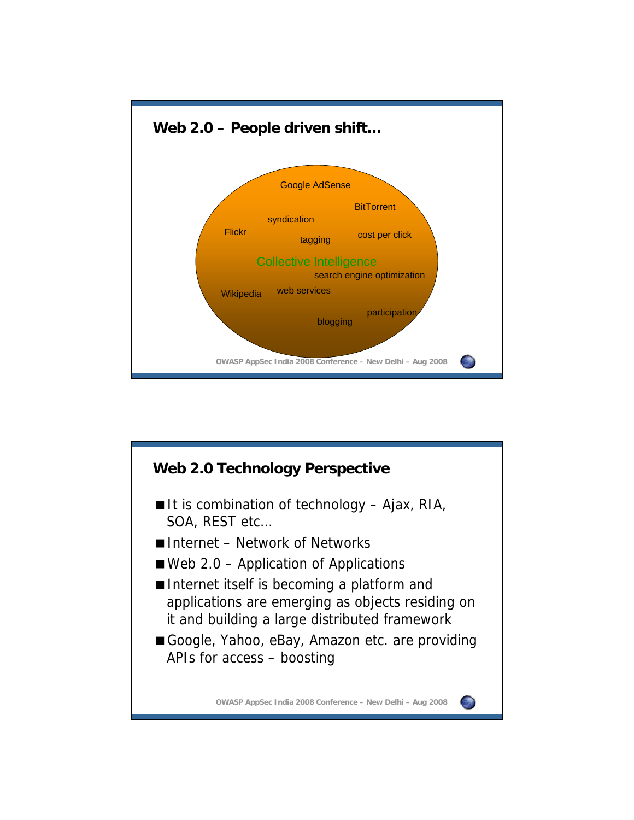

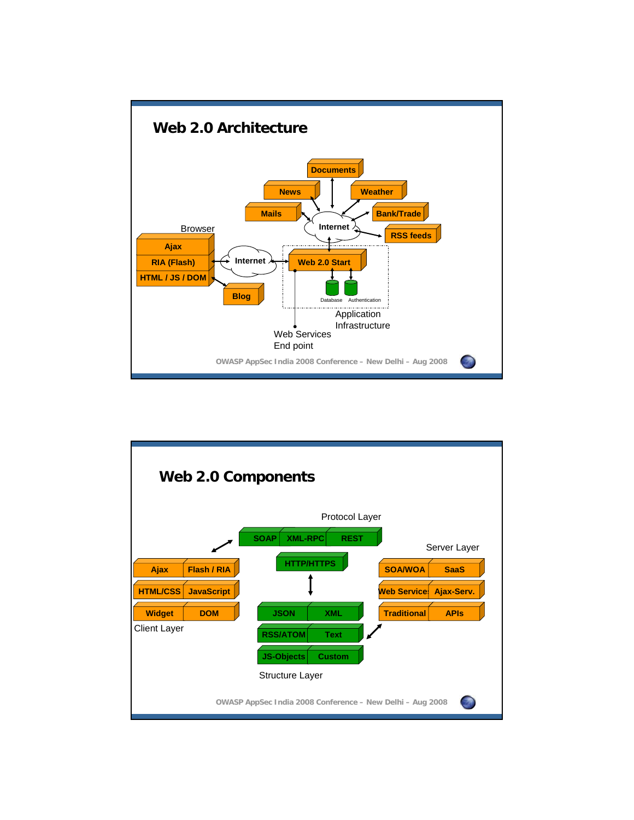

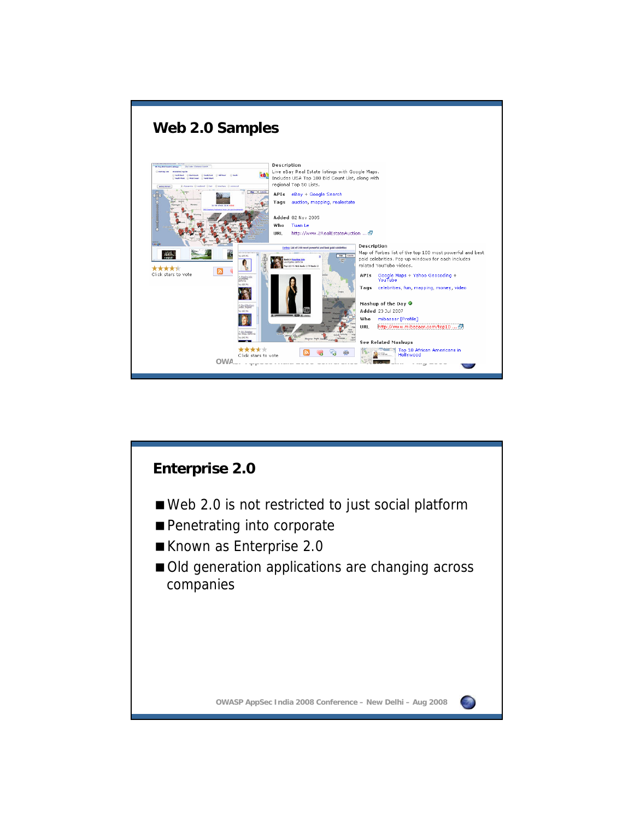

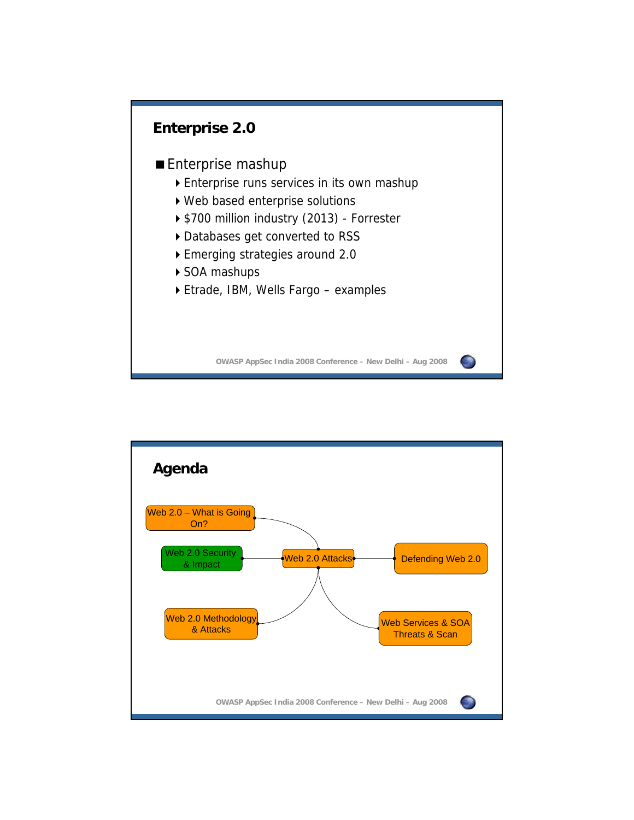

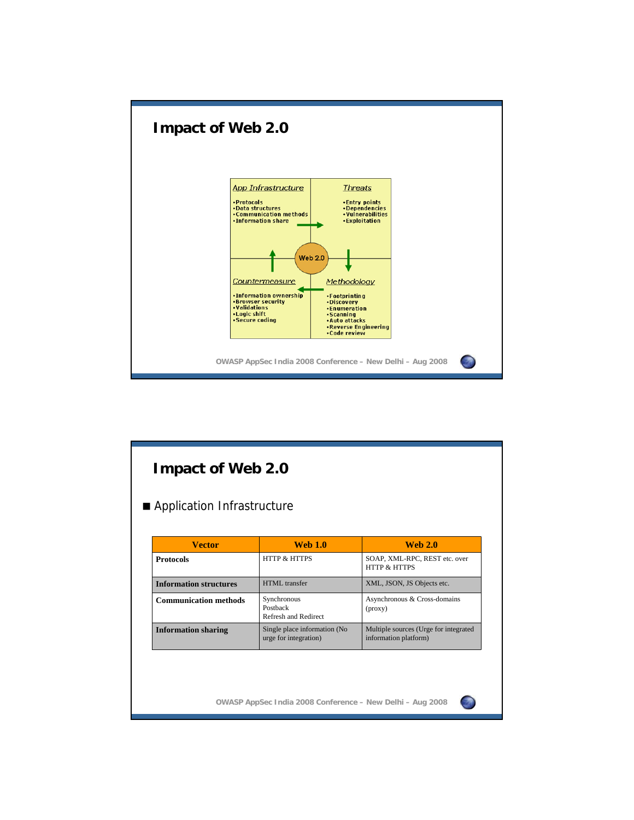

| Application Infrastructure    |                                                       |                                                                |  |  |
|-------------------------------|-------------------------------------------------------|----------------------------------------------------------------|--|--|
| <b>Vector</b>                 | <b>Web 1.0</b>                                        | <b>Web 2.0</b>                                                 |  |  |
| <b>Protocols</b>              | <b>HTTP &amp; HTTPS</b>                               | SOAP, XML-RPC, REST etc. over<br><b>HTTP &amp; HTTPS</b>       |  |  |
| <b>Information structures</b> | HTML transfer                                         | XML, JSON, JS Objects etc.                                     |  |  |
| <b>Communication methods</b>  | Synchronous<br>Postback<br>Refresh and Redirect       | Asynchronous & Cross-domains<br>(prowsy)                       |  |  |
| <b>Information sharing</b>    | Single place information (No<br>urge for integration) | Multiple sources (Urge for integrated<br>information platform) |  |  |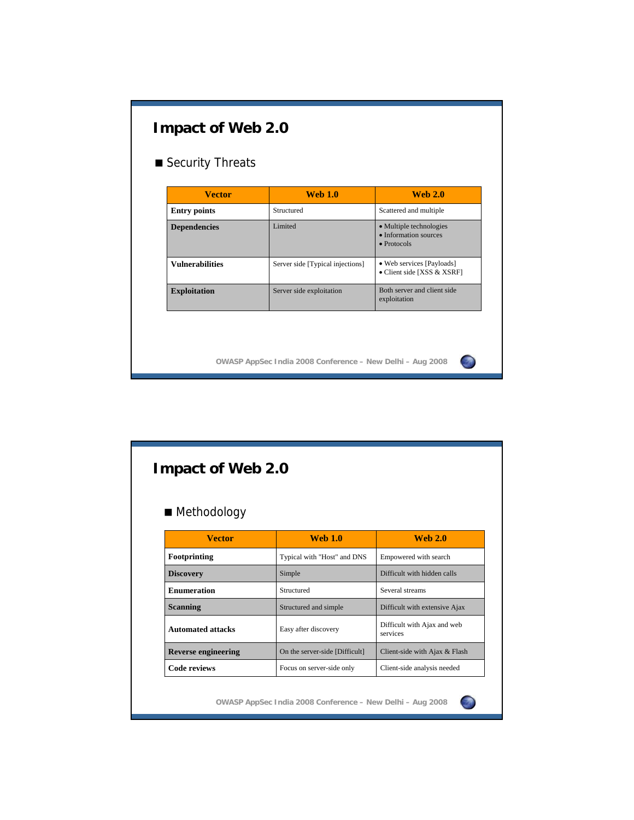| <b>Vector</b>          | <b>Web 1.0</b>                   | <b>Web 2.0</b>                                                          |
|------------------------|----------------------------------|-------------------------------------------------------------------------|
| <b>Entry points</b>    | Structured                       | Scattered and multiple                                                  |
| <b>Dependencies</b>    | Limited                          | • Multiple technologies<br>• Information sources<br>$\bullet$ Protocols |
| <b>Vulnerabilities</b> | Server side [Typical injections] | • Web services [Payloads]<br>• Client side [XSS & XSRF]                 |
| <b>Exploitation</b>    | Server side exploitation         | Both server and client side<br>exploitation                             |

| <b>Impact of Web 2.0</b><br>■ Methodology |                                |                                         |  |
|-------------------------------------------|--------------------------------|-----------------------------------------|--|
|                                           |                                |                                         |  |
| Footprinting                              | Typical with "Host" and DNS    | Empowered with search                   |  |
| <b>Discovery</b>                          | Simple                         | Difficult with hidden calls             |  |
| <b>Enumeration</b>                        | Structured                     | Several streams                         |  |
| <b>Scanning</b>                           | Structured and simple          | Difficult with extensive Ajax           |  |
| <b>Automated attacks</b>                  | Easy after discovery           | Difficult with Ajax and web<br>services |  |
| <b>Reverse engineering</b>                | On the server-side [Difficult] | Client-side with Ajax & Flash           |  |
| <b>Code reviews</b>                       | Focus on server-side only      | Client-side analysis needed             |  |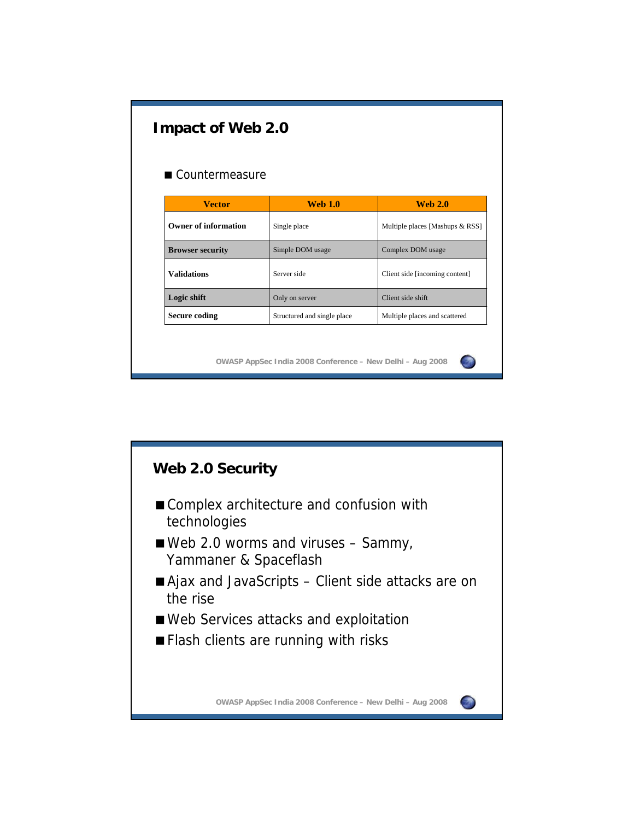| Impact of Web 2.0<br>■ Countermeasure |                                                           |                                 |  |  |
|---------------------------------------|-----------------------------------------------------------|---------------------------------|--|--|
| <b>Vector</b>                         | <b>Web 1.0</b>                                            | <b>Web 2.0</b>                  |  |  |
| <b>Owner of information</b>           | Single place                                              | Multiple places [Mashups & RSS] |  |  |
| <b>Browser security</b>               | Simple DOM usage                                          | Complex DOM usage               |  |  |
| <b>Validations</b>                    | Server side                                               | Client side [incoming content]  |  |  |
| Logic shift                           | Only on server                                            | Client side shift               |  |  |
| <b>Secure coding</b>                  | Structured and single place                               | Multiple places and scattered   |  |  |
|                                       | OWASP AppSec India 2008 Conference - New Delhi - Aug 2008 |                                 |  |  |

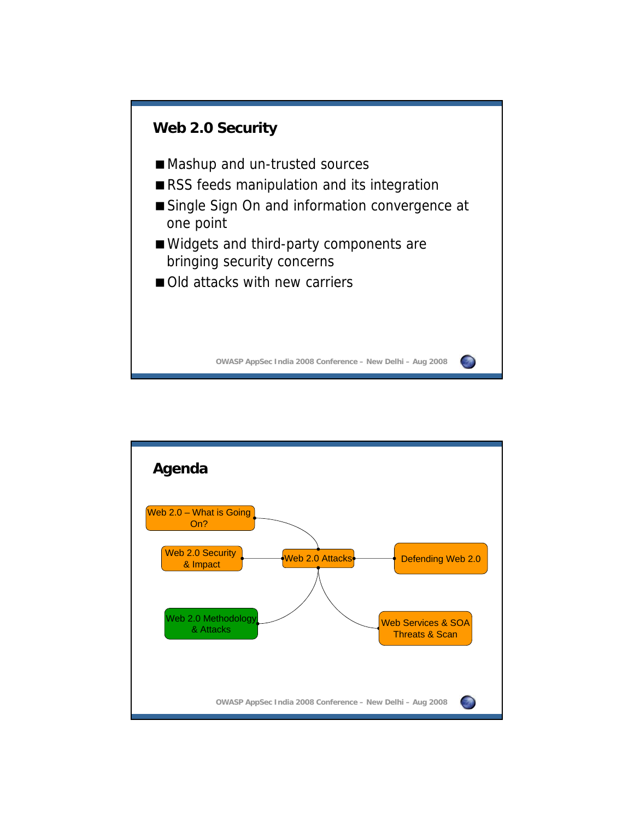

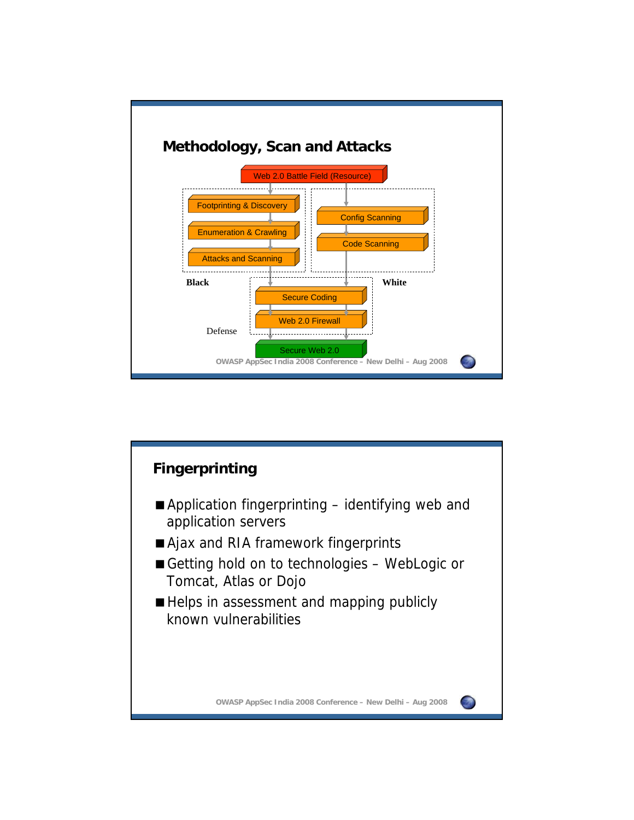

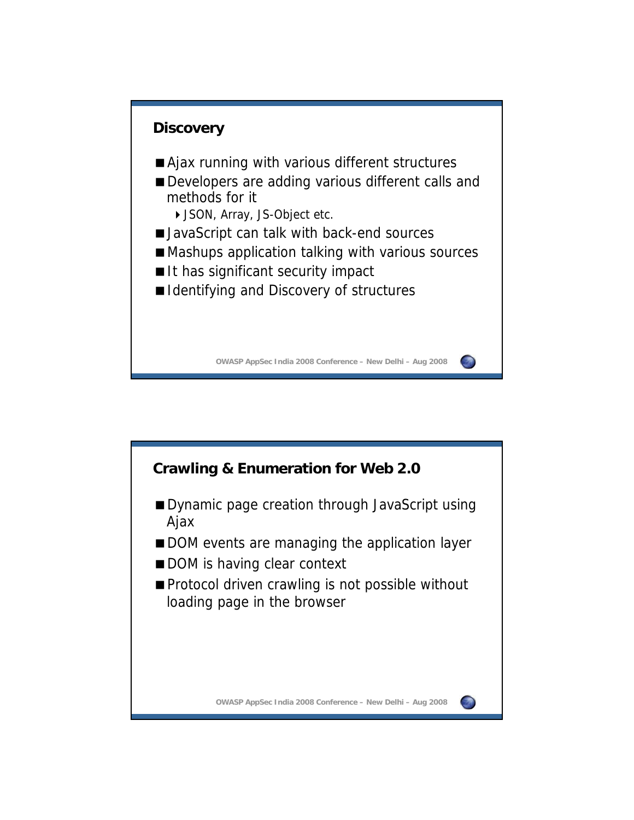

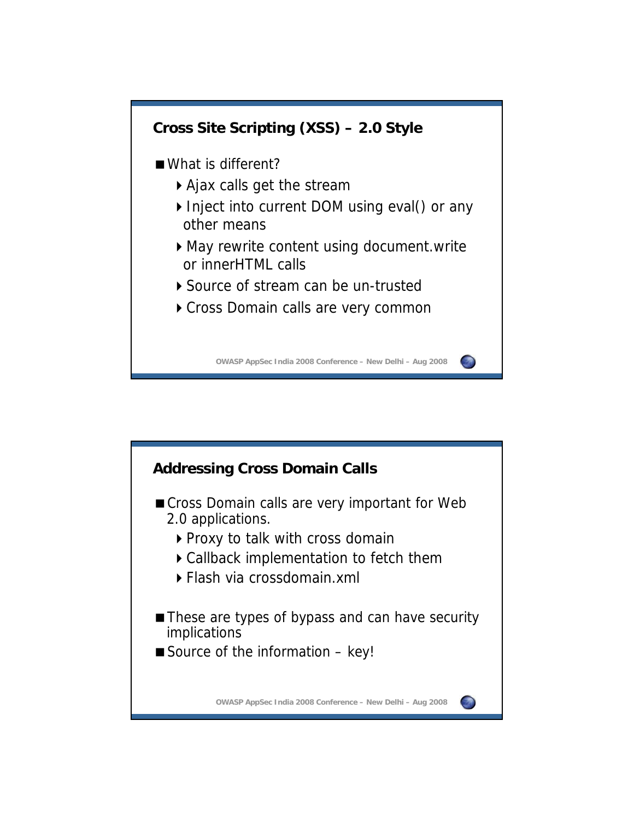

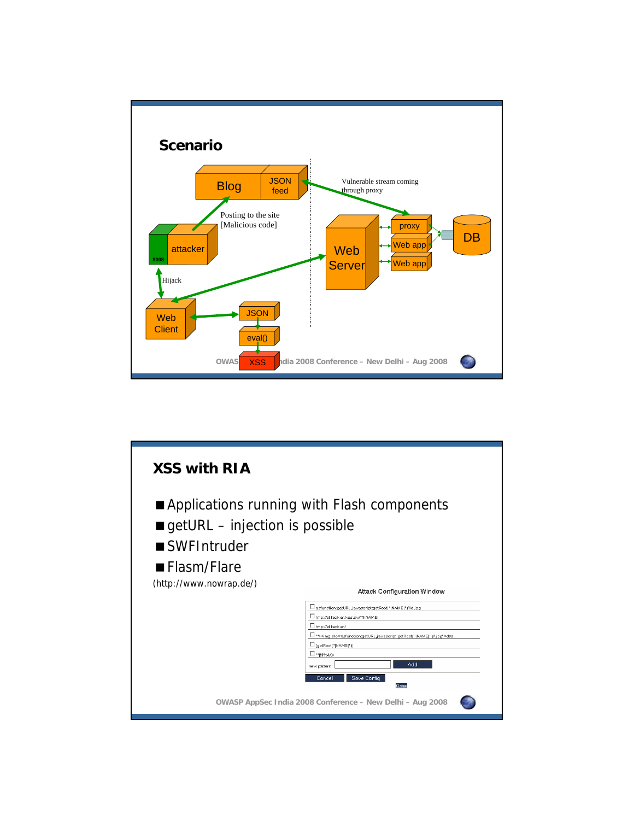

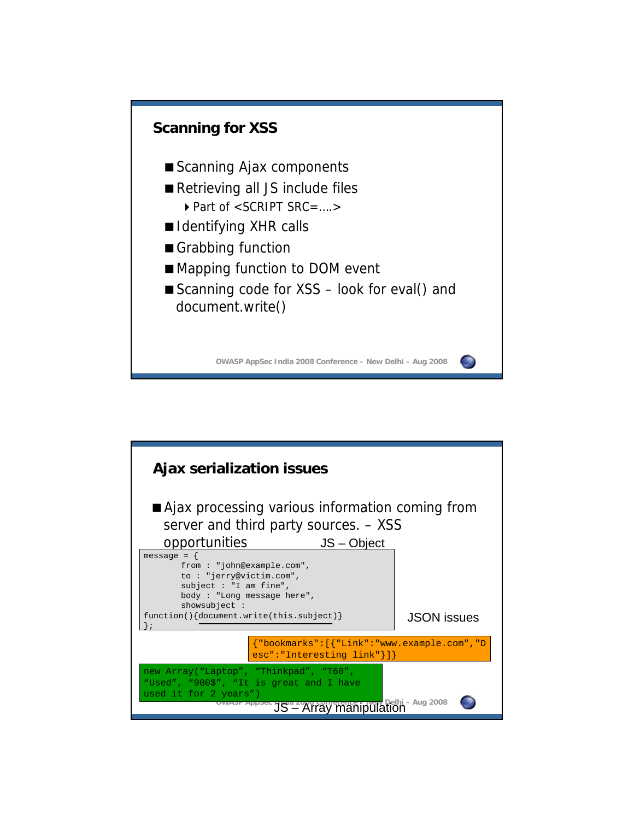

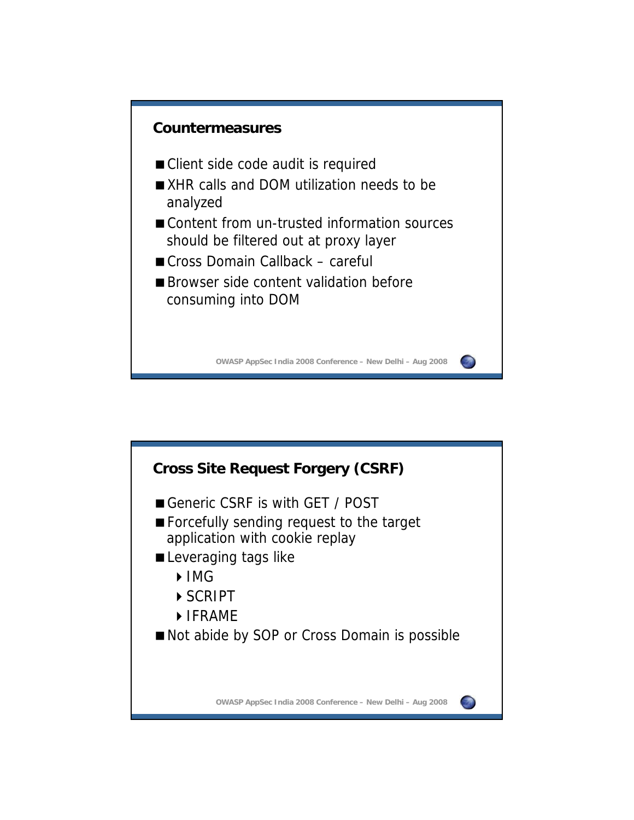

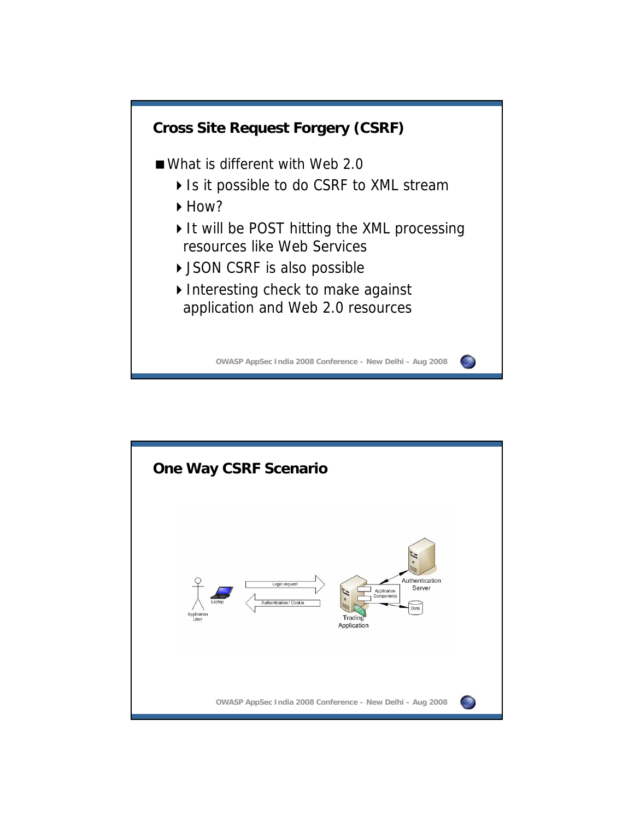

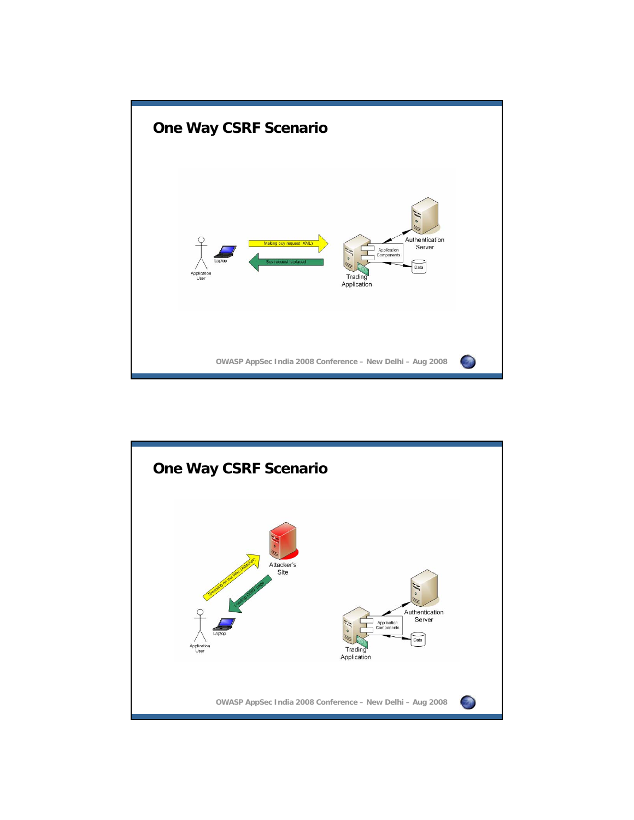

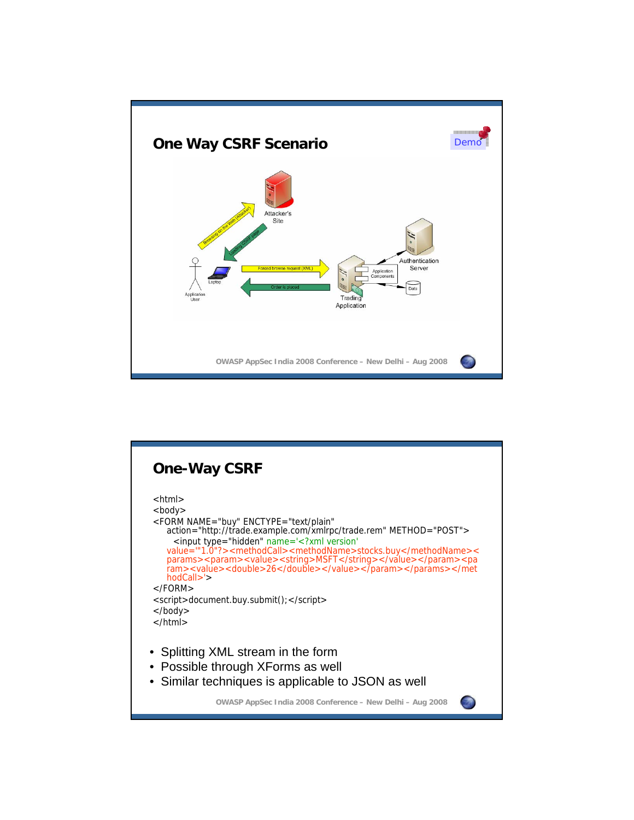

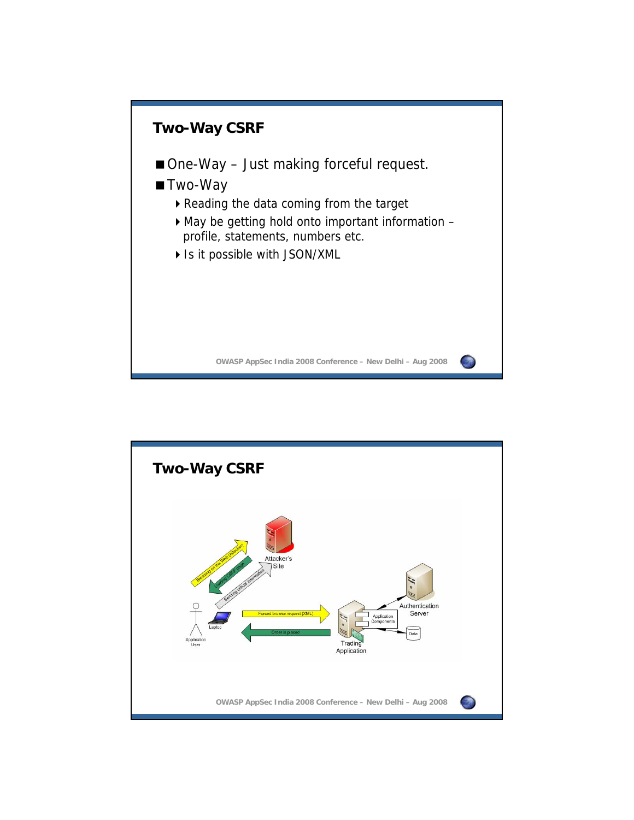

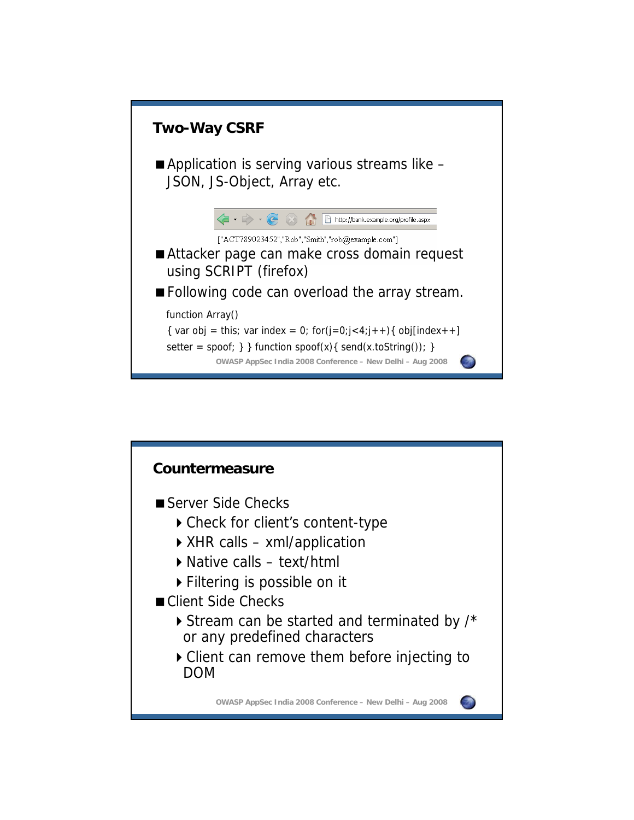

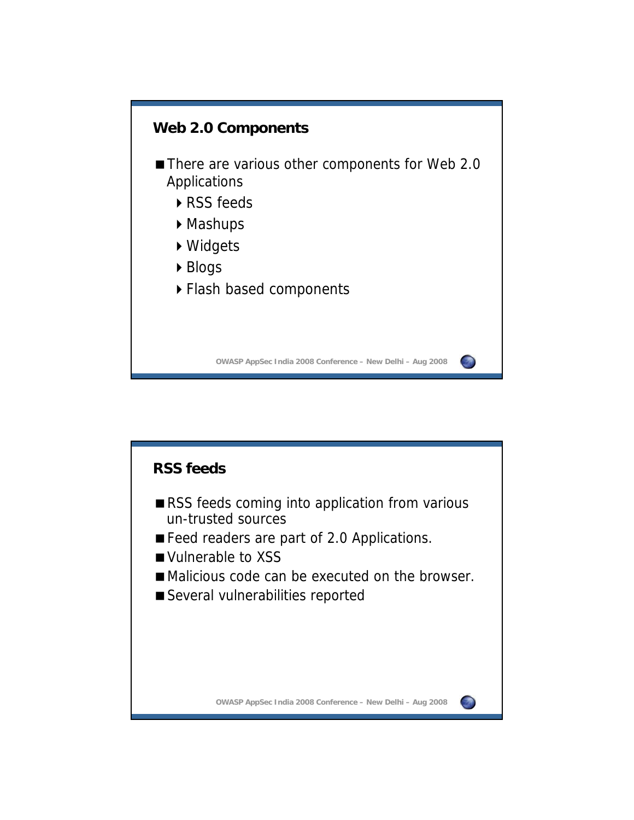

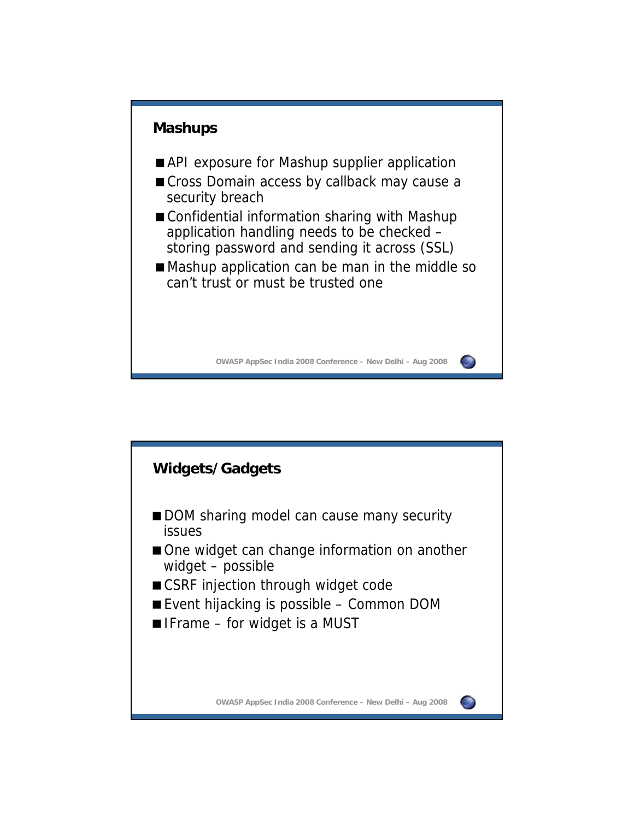

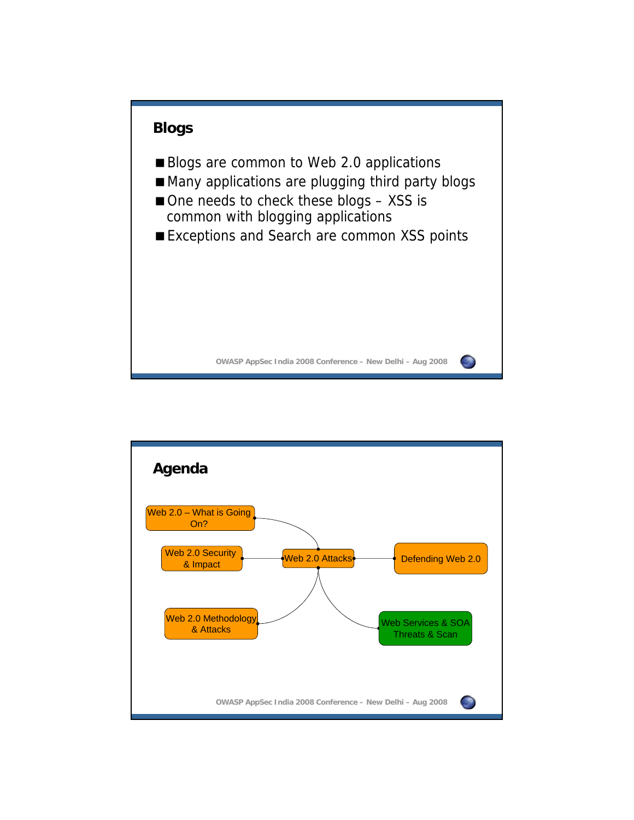

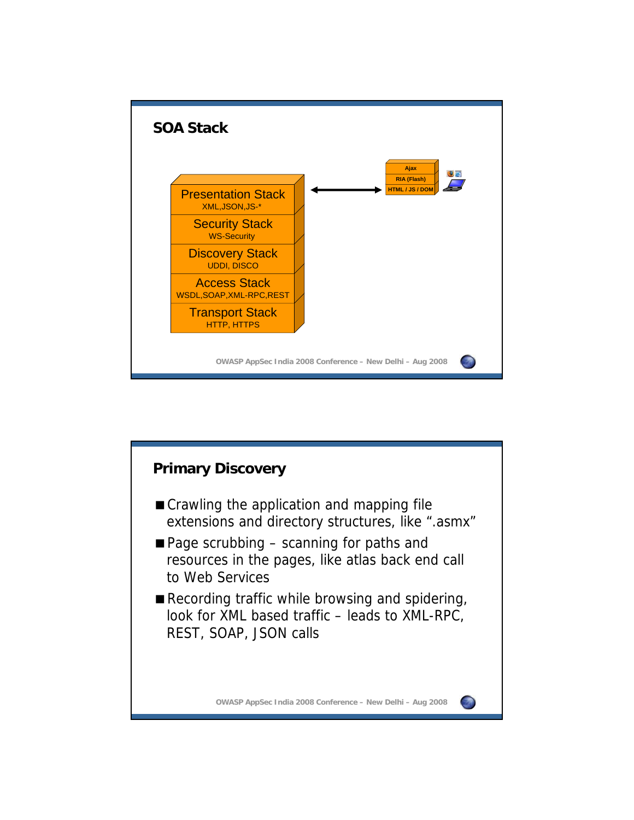

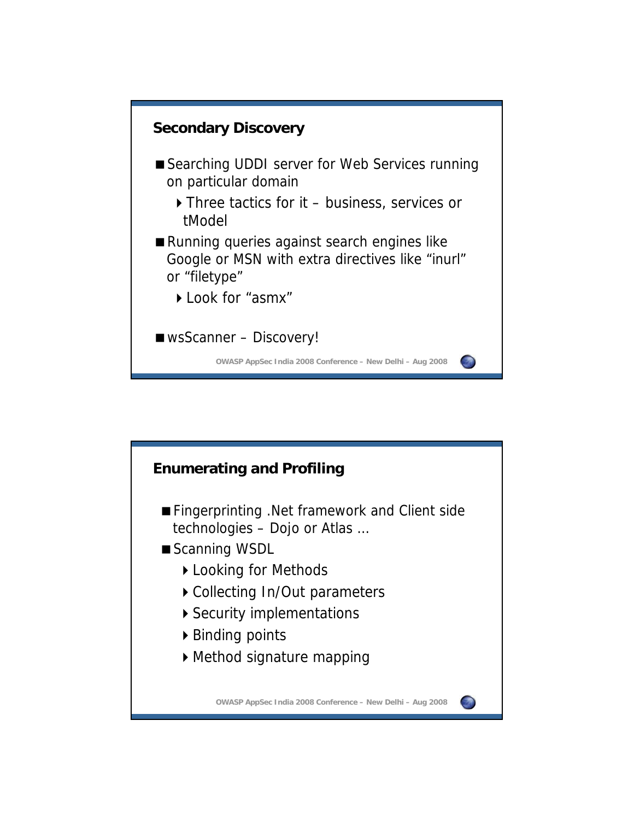

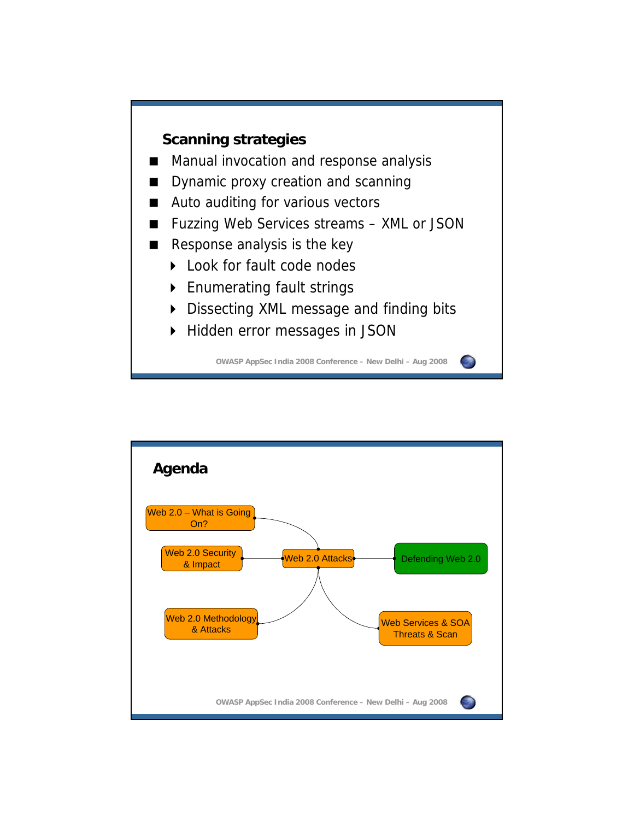

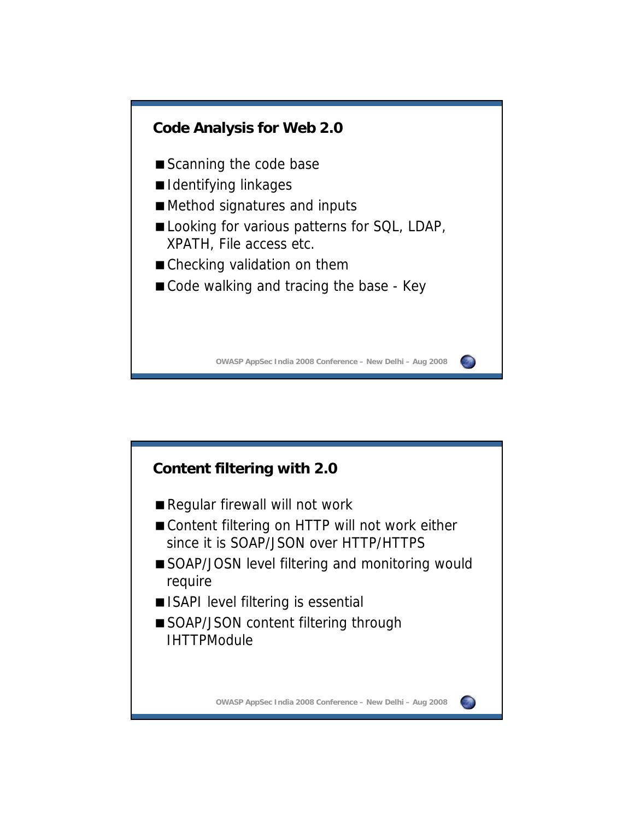

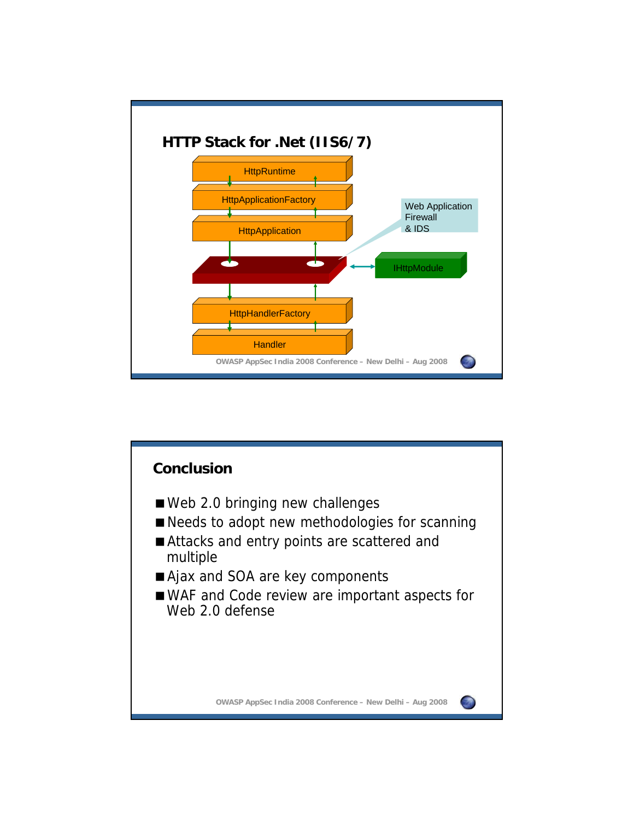